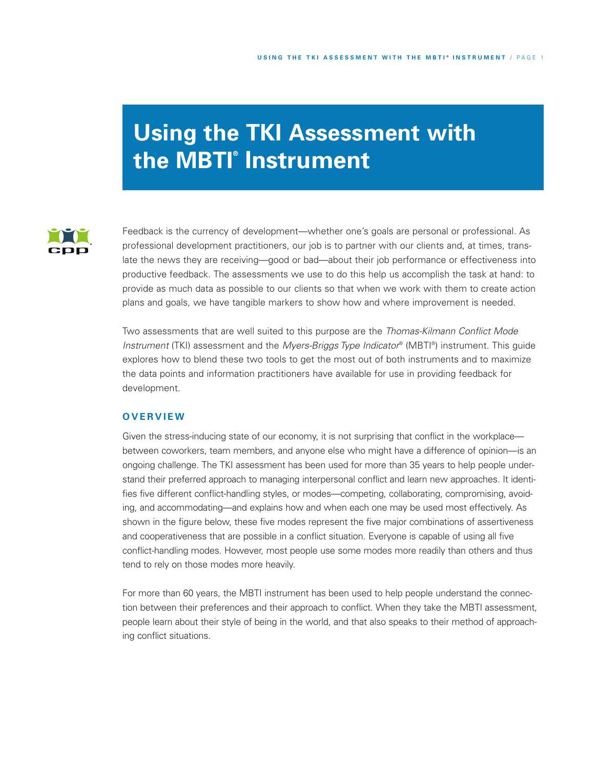# **Using the TKI Assessment with the MBTI ® Instrument**



Feedback is the currency of development—whether one's goals are personal or professional. As professional development practitioners, our job is to partner with our clients and, at times, translate the news they are receiving—good or bad—about their job performance or effectiveness into productive feedback. The assessments we use to do this help us accomplish the task at hand: to provide as much data as possible to our clients so that when we work with them to create action plans and goals, we have tangible markers to show how and where improvement is needed.

Two assessments that are well suited to this purpose are the *Thomas-Kilmann Conflict Mode Instrument* (TKI) assessment and the *Myers-Briggs Type Indicator* ® (MBTI ®) instrument. This guide explores how to blend these two tools to get the most out of both instruments and to maximize the data points and information practitioners have available for use in providing feedback for development.

## **O V ER V I EW**

Given the stress-inducing state of our economy, it is not surprising that conflict in the workplace between coworkers, team members, and anyone else who might have a difference of opinion—is an ongoing challenge. The TKI assessment has been used for more than 35 years to help people understand their preferred approach to managing interpersonal conflict and learn new approaches. It identifies five different conflict-handling styles, or modes—competing, collaborating, compromising, avoiding, and accommodating—and explains how and when each one may be used most effectively. As shown in the figure below, these five modes represent the five major combinations of assertiveness and cooperativeness that are possible in a conflict situation. Everyone is capable of using all five conflict-handling modes. However, most people use some modes more readily than others and thus tend to rely on those modes more heavily.

For more than 60 years, the MBTI instrument has been used to help people understand the connection between their preferences and their approach to conflict. When they take the MBTI assessment, people learn about their style of being in the world, and that also speaks to their method of approaching conflict situations.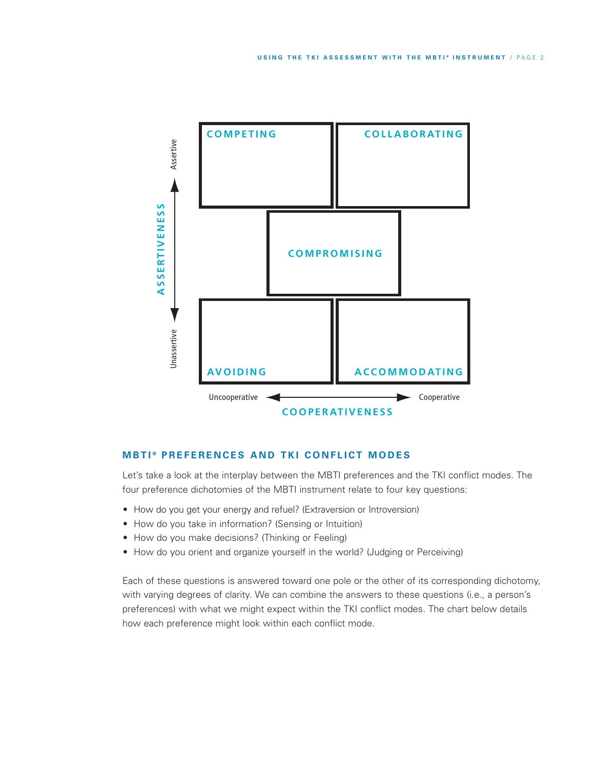

## **MBTI<sup>®</sup> PREFERENCES AND TKI CONFLICT MODES**

Let's take a look at the interplay between the MBTI preferences and the TKI conflict modes. The four preference dichotomies of the MBTI instrument relate to four key questions:

- How do you get your energy and refuel? (Extraversion or Introversion)
- How do you take in information? (Sensing or Intuition)
- How do you make decisions? (Thinking or Feeling)
- How do you orient and organize yourself in the world? (Judging or Perceiving)

Each of these questions is answered toward one pole or the other of its corresponding dichotomy, with varying degrees of clarity. We can combine the answers to these questions (i.e., a person's preferences) with what we might expect within the TKI conflict modes. The chart below details how each preference might look within each conflict mode.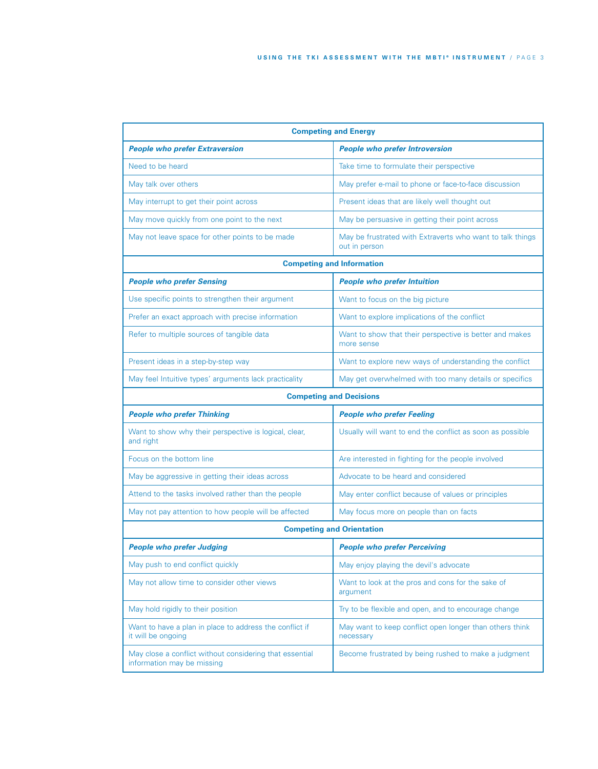| <b>Competing and Energy</b>                                                           |                                                                            |  |  |
|---------------------------------------------------------------------------------------|----------------------------------------------------------------------------|--|--|
| <b>People who prefer Extraversion</b>                                                 | <b>People who prefer Introversion</b>                                      |  |  |
| Need to be heard                                                                      | Take time to formulate their perspective                                   |  |  |
| May talk over others                                                                  | May prefer e-mail to phone or face-to-face discussion                      |  |  |
| May interrupt to get their point across                                               | Present ideas that are likely well thought out                             |  |  |
| May move quickly from one point to the next                                           | May be persuasive in getting their point across                            |  |  |
| May not leave space for other points to be made                                       | May be frustrated with Extraverts who want to talk things<br>out in person |  |  |
|                                                                                       | <b>Competing and Information</b>                                           |  |  |
| <b>People who prefer Sensing</b>                                                      | <b>People who prefer Intuition</b>                                         |  |  |
| Use specific points to strengthen their argument                                      | Want to focus on the big picture                                           |  |  |
| Prefer an exact approach with precise information                                     | Want to explore implications of the conflict                               |  |  |
| Refer to multiple sources of tangible data                                            | Want to show that their perspective is better and makes<br>more sense      |  |  |
| Present ideas in a step-by-step way                                                   | Want to explore new ways of understanding the conflict                     |  |  |
| May feel Intuitive types' arguments lack practicality                                 | May get overwhelmed with too many details or specifics                     |  |  |
| <b>Competing and Decisions</b>                                                        |                                                                            |  |  |
| <b>People who prefer Thinking</b>                                                     | <b>People who prefer Feeling</b>                                           |  |  |
| Want to show why their perspective is logical, clear,<br>and right                    | Usually will want to end the conflict as soon as possible                  |  |  |
| Focus on the bottom line                                                              | Are interested in fighting for the people involved                         |  |  |
| May be aggressive in getting their ideas across                                       | Advocate to be heard and considered                                        |  |  |
| Attend to the tasks involved rather than the people                                   | May enter conflict because of values or principles                         |  |  |
| May not pay attention to how people will be affected                                  | May focus more on people than on facts                                     |  |  |
| <b>Competing and Orientation</b>                                                      |                                                                            |  |  |
| <b>People who prefer Judging</b>                                                      | <b>People who prefer Perceiving</b>                                        |  |  |
| May push to end conflict quickly                                                      | May enjoy playing the devil's advocate                                     |  |  |
| May not allow time to consider other views                                            | Want to look at the pros and cons for the sake of<br>argument              |  |  |
| May hold rigidly to their position                                                    | Try to be flexible and open, and to encourage change                       |  |  |
| Want to have a plan in place to address the conflict if<br>it will be ongoing         | May want to keep conflict open longer than others think<br>necessary       |  |  |
| May close a conflict without considering that essential<br>information may be missing | Become frustrated by being rushed to make a judgment                       |  |  |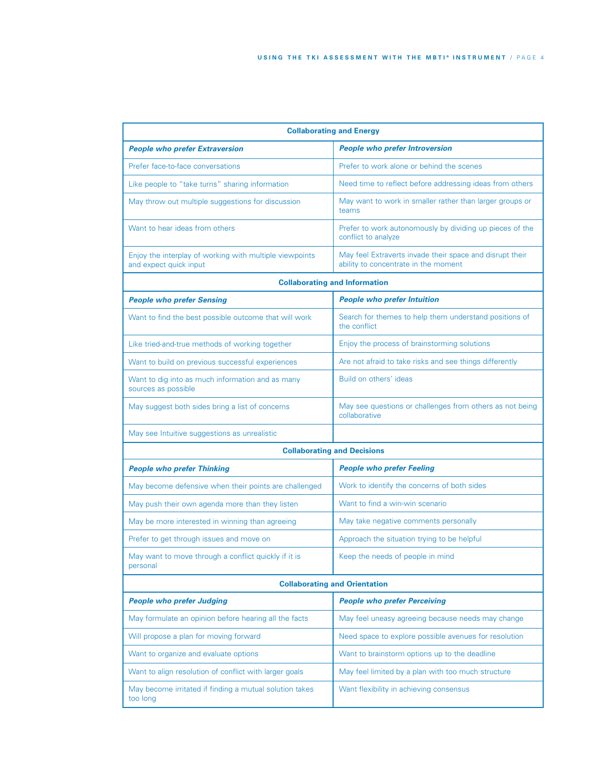| <b>Collaborating and Energy</b>                                                   |                                                                                                  |  |  |
|-----------------------------------------------------------------------------------|--------------------------------------------------------------------------------------------------|--|--|
| <b>People who prefer Extraversion</b>                                             | <b>People who prefer Introversion</b>                                                            |  |  |
| Prefer face-to-face conversations                                                 | Prefer to work alone or behind the scenes                                                        |  |  |
| Like people to "take turns" sharing information                                   | Need time to reflect before addressing ideas from others                                         |  |  |
| May throw out multiple suggestions for discussion                                 | May want to work in smaller rather than larger groups or<br>teams                                |  |  |
| Want to hear ideas from others                                                    | Prefer to work autonomously by dividing up pieces of the<br>conflict to analyze                  |  |  |
| Enjoy the interplay of working with multiple viewpoints<br>and expect quick input | May feel Extraverts invade their space and disrupt their<br>ability to concentrate in the moment |  |  |
|                                                                                   | <b>Collaborating and Information</b>                                                             |  |  |
| <b>People who prefer Sensing</b>                                                  | <b>People who prefer Intuition</b>                                                               |  |  |
| Want to find the best possible outcome that will work                             | Search for themes to help them understand positions of<br>the conflict                           |  |  |
| Like tried-and-true methods of working together                                   | Enjoy the process of brainstorming solutions                                                     |  |  |
| Want to build on previous successful experiences                                  | Are not afraid to take risks and see things differently                                          |  |  |
| Want to dig into as much information and as many<br>sources as possible           | Build on others' ideas                                                                           |  |  |
| May suggest both sides bring a list of concerns                                   | May see questions or challenges from others as not being<br>collaborative                        |  |  |
| May see Intuitive suggestions as unrealistic                                      |                                                                                                  |  |  |
|                                                                                   | <b>Collaborating and Decisions</b>                                                               |  |  |
| <b>People who prefer Thinking</b>                                                 | <b>People who prefer Feeling</b>                                                                 |  |  |
| May become defensive when their points are challenged                             | Work to identify the concerns of both sides                                                      |  |  |
| May push their own agenda more than they listen                                   | Want to find a win-win scenario                                                                  |  |  |
| May be more interested in winning than agreeing                                   | May take negative comments personally                                                            |  |  |
| Prefer to get through issues and move on                                          | Approach the situation trying to be helpful                                                      |  |  |
| May want to move through a conflict quickly if it is<br>personal                  | Keep the needs of people in mind                                                                 |  |  |
|                                                                                   | <b>Collaborating and Orientation</b>                                                             |  |  |
| <b>People who prefer Judging</b>                                                  | <b>People who prefer Perceiving</b>                                                              |  |  |
| May formulate an opinion before hearing all the facts                             | May feel uneasy agreeing because needs may change                                                |  |  |
| Will propose a plan for moving forward                                            | Need space to explore possible avenues for resolution                                            |  |  |
| Want to organize and evaluate options                                             | Want to brainstorm options up to the deadline                                                    |  |  |
| Want to align resolution of conflict with larger goals                            | May feel limited by a plan with too much structure                                               |  |  |
| May become irritated if finding a mutual solution takes<br>too long               | Want flexibility in achieving consensus                                                          |  |  |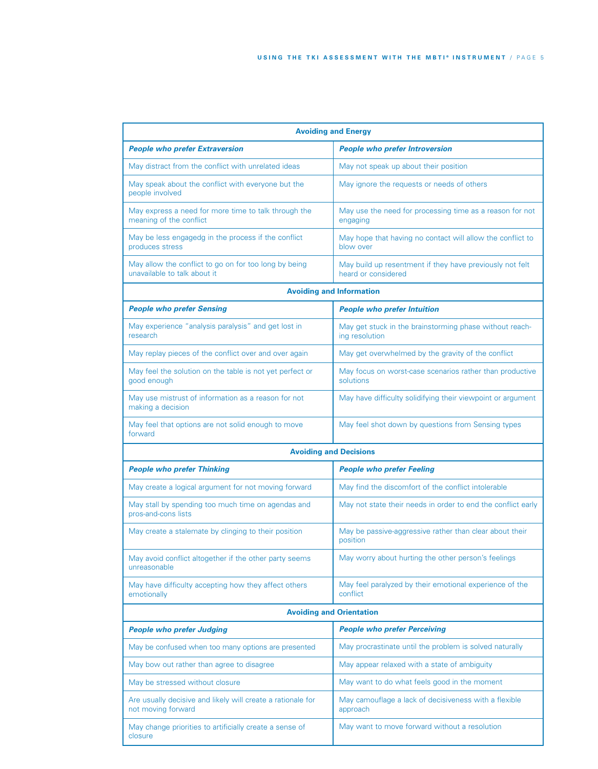| <b>Avoiding and Energy</b>                                                            |                                                                                 |  |  |  |
|---------------------------------------------------------------------------------------|---------------------------------------------------------------------------------|--|--|--|
| <b>People who prefer Extraversion</b>                                                 | <b>People who prefer Introversion</b>                                           |  |  |  |
| May distract from the conflict with unrelated ideas                                   | May not speak up about their position                                           |  |  |  |
| May speak about the conflict with everyone but the<br>people involved                 | May ignore the requests or needs of others                                      |  |  |  |
| May express a need for more time to talk through the<br>meaning of the conflict       | May use the need for processing time as a reason for not<br>engaging            |  |  |  |
| May be less engagedg in the process if the conflict<br>produces stress                | May hope that having no contact will allow the conflict to<br>blow over         |  |  |  |
| May allow the conflict to go on for too long by being<br>unavailable to talk about it | May build up resentment if they have previously not felt<br>heard or considered |  |  |  |
|                                                                                       | <b>Avoiding and Information</b>                                                 |  |  |  |
| <b>People who prefer Sensing</b>                                                      | <b>People who prefer Intuition</b>                                              |  |  |  |
| May experience "analysis paralysis" and get lost in<br>research                       | May get stuck in the brainstorming phase without reach-<br>ing resolution       |  |  |  |
| May replay pieces of the conflict over and over again                                 | May get overwhelmed by the gravity of the conflict                              |  |  |  |
| May feel the solution on the table is not yet perfect or<br>good enough               | May focus on worst-case scenarios rather than productive<br>solutions           |  |  |  |
| May use mistrust of information as a reason for not<br>making a decision              | May have difficulty solidifying their viewpoint or argument                     |  |  |  |
| May feel that options are not solid enough to move<br>forward                         | May feel shot down by questions from Sensing types                              |  |  |  |
| <b>Avoiding and Decisions</b>                                                         |                                                                                 |  |  |  |
| <b>People who prefer Thinking</b>                                                     | <b>People who prefer Feeling</b>                                                |  |  |  |
| May create a logical argument for not moving forward                                  | May find the discomfort of the conflict intolerable                             |  |  |  |
| May stall by spending too much time on agendas and<br>pros-and-cons lists             | May not state their needs in order to end the conflict early                    |  |  |  |
| May create a stalemate by clinging to their position                                  | May be passive-aggressive rather than clear about their<br>position             |  |  |  |
| May avoid conflict altogether if the other party seems<br>unreasonable                | May worry about hurting the other person's feelings                             |  |  |  |
| May have difficulty accepting how they affect others<br>emotionally                   | May feel paralyzed by their emotional experience of the<br>conflict             |  |  |  |
| <b>Avoiding and Orientation</b>                                                       |                                                                                 |  |  |  |
| <b>People who prefer Judging</b>                                                      | <b>People who prefer Perceiving</b>                                             |  |  |  |
| May be confused when too many options are presented                                   | May procrastinate until the problem is solved naturally                         |  |  |  |
| May bow out rather than agree to disagree                                             | May appear relaxed with a state of ambiguity                                    |  |  |  |
| May be stressed without closure                                                       | May want to do what feels good in the moment                                    |  |  |  |
| Are usually decisive and likely will create a rationale for<br>not moving forward     | May camouflage a lack of decisiveness with a flexible<br>approach               |  |  |  |
| May change priorities to artificially create a sense of<br>closure                    | May want to move forward without a resolution                                   |  |  |  |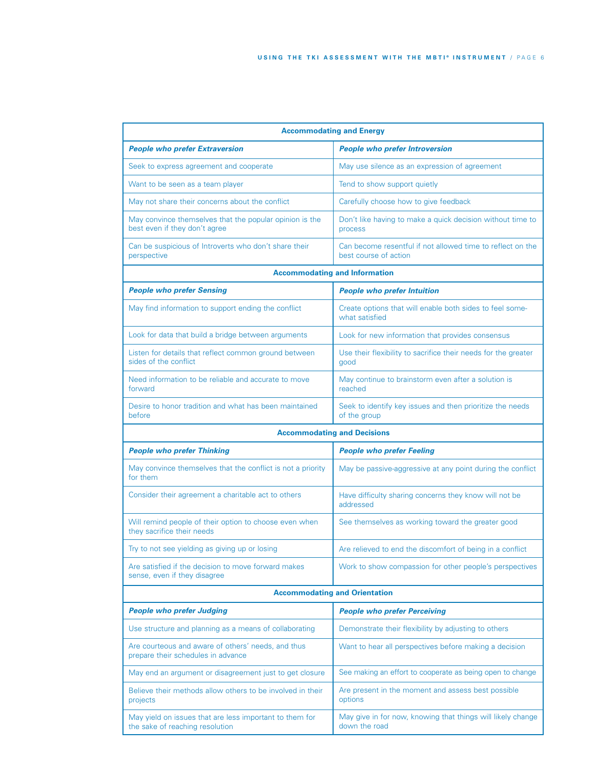| <b>Accommodating and Energy</b>                                                            |                                                                                     |  |  |  |
|--------------------------------------------------------------------------------------------|-------------------------------------------------------------------------------------|--|--|--|
| <b>People who prefer Extraversion</b>                                                      | <b>People who prefer Introversion</b>                                               |  |  |  |
| Seek to express agreement and cooperate                                                    | May use silence as an expression of agreement                                       |  |  |  |
| Want to be seen as a team player                                                           | Tend to show support quietly                                                        |  |  |  |
| May not share their concerns about the conflict                                            | Carefully choose how to give feedback                                               |  |  |  |
| May convince themselves that the popular opinion is the<br>best even if they don't agree   | Don't like having to make a quick decision without time to<br>process               |  |  |  |
| Can be suspicious of Introverts who don't share their<br>perspective                       | Can become resentful if not allowed time to reflect on the<br>best course of action |  |  |  |
|                                                                                            | <b>Accommodating and Information</b>                                                |  |  |  |
| <b>People who prefer Sensing</b>                                                           | <b>People who prefer Intuition</b>                                                  |  |  |  |
| May find information to support ending the conflict                                        | Create options that will enable both sides to feel some-<br>what satisfied          |  |  |  |
| Look for data that build a bridge between arguments                                        | Look for new information that provides consensus                                    |  |  |  |
| Listen for details that reflect common ground between<br>sides of the conflict             | Use their flexibility to sacrifice their needs for the greater<br>good              |  |  |  |
| Need information to be reliable and accurate to move<br>forward                            | May continue to brainstorm even after a solution is<br>reached                      |  |  |  |
| Desire to honor tradition and what has been maintained<br>before                           | Seek to identify key issues and then prioritize the needs<br>of the group           |  |  |  |
|                                                                                            | <b>Accommodating and Decisions</b>                                                  |  |  |  |
| <b>People who prefer Thinking</b>                                                          | <b>People who prefer Feeling</b>                                                    |  |  |  |
| May convince themselves that the conflict is not a priority<br>for them                    | May be passive-aggressive at any point during the conflict                          |  |  |  |
| Consider their agreement a charitable act to others                                        | Have difficulty sharing concerns they know will not be<br>addressed                 |  |  |  |
| Will remind people of their option to choose even when<br>they sacrifice their needs       | See themselves as working toward the greater good                                   |  |  |  |
| Try to not see yielding as giving up or losing                                             | Are relieved to end the discomfort of being in a conflict                           |  |  |  |
| Are satisfied if the decision to move forward makes<br>sense, even if they disagree        | Work to show compassion for other people's perspectives                             |  |  |  |
| <b>Accommodating and Orientation</b>                                                       |                                                                                     |  |  |  |
| <b>People who prefer Judging</b>                                                           | <b>People who prefer Perceiving</b>                                                 |  |  |  |
| Use structure and planning as a means of collaborating                                     | Demonstrate their flexibility by adjusting to others                                |  |  |  |
| Are courteous and aware of others' needs, and thus<br>prepare their schedules in advance   | Want to hear all perspectives before making a decision                              |  |  |  |
| May end an argument or disagreement just to get closure                                    | See making an effort to cooperate as being open to change                           |  |  |  |
| Believe their methods allow others to be involved in their<br>projects                     | Are present in the moment and assess best possible<br>options                       |  |  |  |
| May yield on issues that are less important to them for<br>the sake of reaching resolution | May give in for now, knowing that things will likely change<br>down the road        |  |  |  |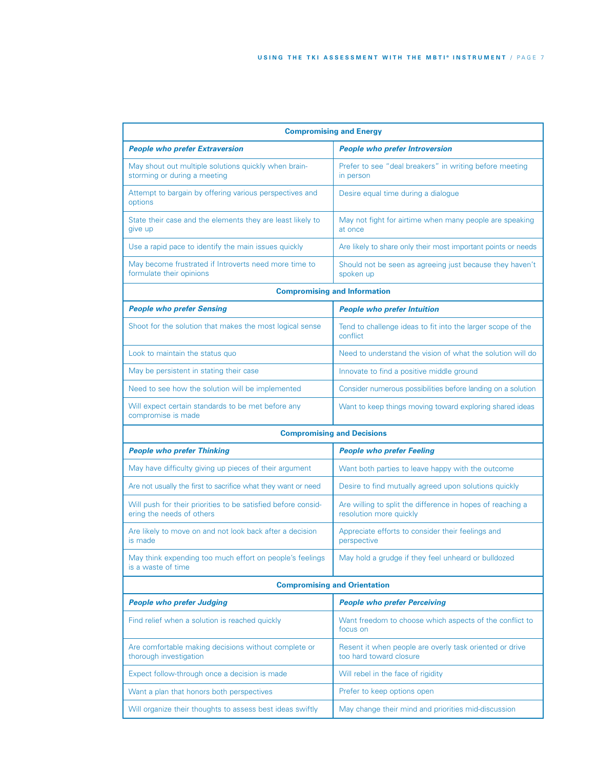| <b>Compromising and Energy</b>                                                             |                                                                                       |  |  |  |
|--------------------------------------------------------------------------------------------|---------------------------------------------------------------------------------------|--|--|--|
| <b>People who prefer Extraversion</b>                                                      | <b>People who prefer Introversion</b>                                                 |  |  |  |
| May shout out multiple solutions quickly when brain-<br>storming or during a meeting       | Prefer to see "deal breakers" in writing before meeting<br>in person                  |  |  |  |
| Attempt to bargain by offering various perspectives and<br>options                         | Desire equal time during a dialogue                                                   |  |  |  |
| State their case and the elements they are least likely to<br>give up                      | May not fight for airtime when many people are speaking<br>at once                    |  |  |  |
| Use a rapid pace to identify the main issues quickly                                       | Are likely to share only their most important points or needs                         |  |  |  |
| May become frustrated if Introverts need more time to<br>formulate their opinions          | Should not be seen as agreeing just because they haven't<br>spoken up                 |  |  |  |
|                                                                                            | <b>Compromising and Information</b>                                                   |  |  |  |
| <b>People who prefer Sensing</b>                                                           | <b>People who prefer Intuition</b>                                                    |  |  |  |
| Shoot for the solution that makes the most logical sense                                   | Tend to challenge ideas to fit into the larger scope of the<br>conflict               |  |  |  |
| Look to maintain the status quo                                                            | Need to understand the vision of what the solution will do                            |  |  |  |
| May be persistent in stating their case                                                    | Innovate to find a positive middle ground                                             |  |  |  |
| Need to see how the solution will be implemented                                           | Consider numerous possibilities before landing on a solution                          |  |  |  |
| Will expect certain standards to be met before any<br>compromise is made                   | Want to keep things moving toward exploring shared ideas                              |  |  |  |
|                                                                                            | <b>Compromising and Decisions</b>                                                     |  |  |  |
| <b>People who prefer Thinking</b>                                                          | <b>People who prefer Feeling</b>                                                      |  |  |  |
| May have difficulty giving up pieces of their argument                                     | Want both parties to leave happy with the outcome                                     |  |  |  |
| Are not usually the first to sacrifice what they want or need                              | Desire to find mutually agreed upon solutions quickly                                 |  |  |  |
| Will push for their priorities to be satisfied before consid-<br>ering the needs of others | Are willing to split the difference in hopes of reaching a<br>resolution more quickly |  |  |  |
| Are likely to move on and not look back after a decision<br>is made                        | Appreciate efforts to consider their feelings and<br>perspective                      |  |  |  |
| May think expending too much effort on people's feelings<br>is a waste of time             | May hold a grudge if they feel unheard or bulldozed                                   |  |  |  |
| <b>Compromising and Orientation</b>                                                        |                                                                                       |  |  |  |
| <b>People who prefer Judging</b>                                                           | <b>People who prefer Perceiving</b>                                                   |  |  |  |
| Find relief when a solution is reached quickly                                             | Want freedom to choose which aspects of the conflict to<br>focus on                   |  |  |  |
| Are comfortable making decisions without complete or<br>thorough investigation             | Resent it when people are overly task oriented or drive<br>too hard toward closure    |  |  |  |
| Expect follow-through once a decision is made                                              | Will rebel in the face of rigidity                                                    |  |  |  |
| Want a plan that honors both perspectives                                                  | Prefer to keep options open                                                           |  |  |  |
| Will organize their thoughts to assess best ideas swiftly                                  | May change their mind and priorities mid-discussion                                   |  |  |  |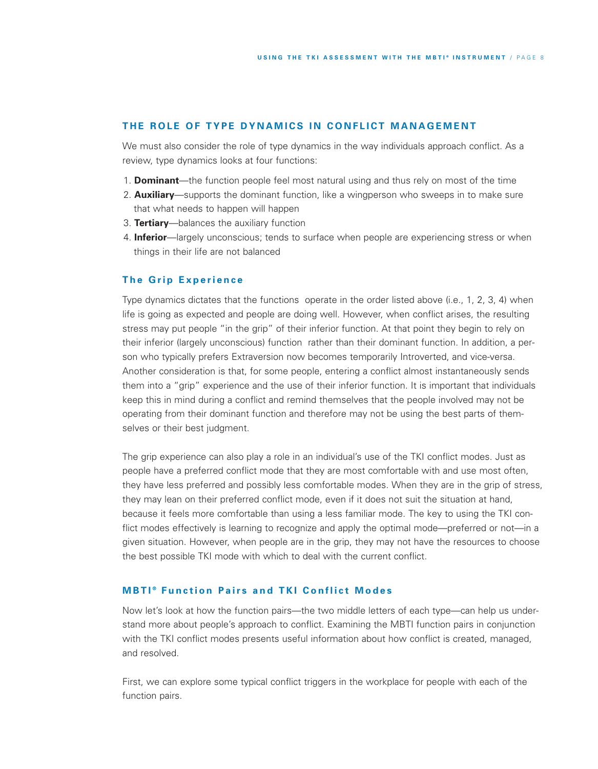#### THE ROLE OF TYPE DYNAMICS IN CONFLICT MANAGEMENT

We must also consider the role of type dynamics in the way individuals approach conflict. As a review, type dynamics looks at four functions:

- 1. **Dominant**—the function people feel most natural using and thus rely on most of the time
- 2. **Auxiliary**—supports the dominant function, like a wingperson who sweeps in to make sure that what needs to happen will happen
- 3. **Tertiary**—balances the auxiliary function
- 4. **Inferior**—largely unconscious; tends to surface when people are experiencing stress or when things in their life are not balanced

## **The Grip Experience**

Type dynamics dictates that the functions operate in the order listed above (i.e., 1, 2, 3, 4) when life is going as expected and people are doing well. However, when conflict arises, the resulting stress may put people "in the grip" of their inferior function. At that point they begin to rely on their inferior (largely unconscious) function rather than their dominant function. In addition, a person who typically prefers Extraversion now becomes temporarily Introverted, and vice-versa. Another consideration is that, for some people, entering a conflict almost instantaneously sends them into a "grip" experience and the use of their inferior function. It is important that individuals keep this in mind during a conflict and remind themselves that the people involved may not be operating from their dominant function and therefore may not be using the best parts of themselves or their best judgment.

The grip experience can also play a role in an individual's use of the TKI conflict modes. Just as people have a preferred conflict mode that they are most comfortable with and use most often, they have less preferred and possibly less comfortable modes. When they are in the grip of stress, they may lean on their preferred conflict mode, even if it does not suit the situation at hand, because it feels more comfortable than using a less familiar mode. The key to using the TKI conflict modes effectively is learning to recognize and apply the optimal mode—preferred or not—in a given situation. However, when people are in the grip, they may not have the resources to choose the best possible TKI mode with which to deal with the current conflict.

## **MBTI<sup>®</sup>** Function Pairs and TKI Conflict Modes

Now let's look at how the function pairs—the two middle letters of each type—can help us understand more about people's approach to conflict. Examining the MBTI function pairs in conjunction with the TKI conflict modes presents useful information about how conflict is created, managed, and resolved.

First, we can explore some typical conflict triggers in the workplace for people with each of the function pairs.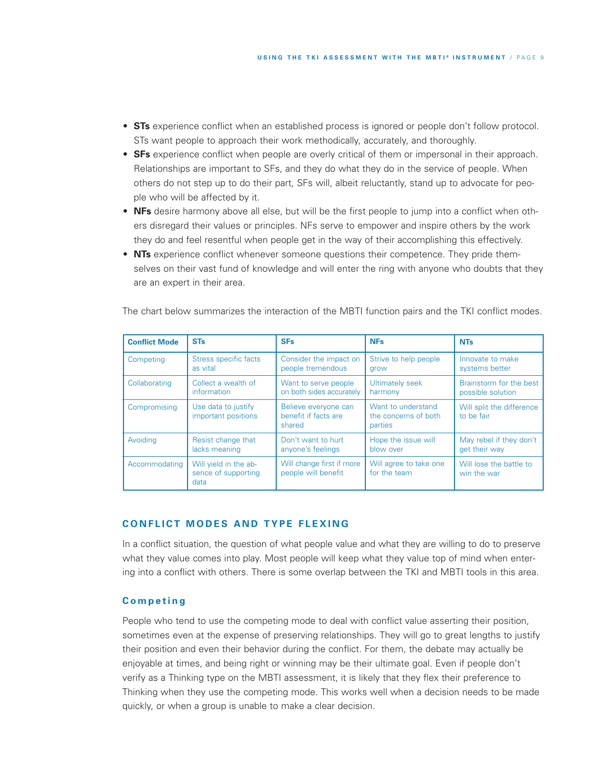- **STs** experience conflict when an established process is ignored or people don't follow protocol. STs want people to approach their work methodically, accurately, and thoroughly.
- **SFs** experience conflict when people are overly critical of them or impersonal in their approach. Relationships are important to SFs, and they do what they do in the service of people. When others do not step up to do their part, SFs will, albeit reluctantly, stand up to advocate for people who will be affected by it.
- **NFs** desire harmony above all else, but will be the first people to jump into a conflict when others disregard their values or principles. NFs serve to empower and inspire others by the work they do and feel resentful when people get in the way of their accomplishing this effectively.
- **NTs** experience conflict whenever someone questions their competence. They pride themselves on their vast fund of knowledge and will enter the ring with anyone who doubts that they are an expert in their area.

| <b>Conflict Mode</b> | <b>STs</b>                                           | <b>SFs</b>                                             | <b>NFs</b>                                            | <b>NTs</b>                              |
|----------------------|------------------------------------------------------|--------------------------------------------------------|-------------------------------------------------------|-----------------------------------------|
| Competing            | Stress specific facts                                | Consider the impact on                                 | Strive to help people                                 | Innovate to make                        |
|                      | as vital                                             | people tremendous                                      | grow                                                  | systems better                          |
| Collaborating        | Collect a wealth of                                  | Want to serve people                                   | <b>Ultimately seek</b>                                | Brainstorm for the best                 |
|                      | information                                          | on both sides accurately                               | harmony                                               | possible solution                       |
| Compromising         | Use data to justify<br>important positions           | Believe everyone can<br>benefit if facts are<br>shared | Want to understand<br>the concerns of both<br>parties | Will split the difference<br>to be fair |
| Avoiding             | Resist change that                                   | Don't want to hurt                                     | Hope the issue will                                   | May rebel if they don't                 |
|                      | lacks meaning                                        | anyone's feelings                                      | blow over                                             | get their way                           |
| Accommodating        | Will yield in the ab-<br>sence of supporting<br>data | Will change first if more<br>people will benefit       | Will agree to take one<br>for the team                | Will lose the battle to<br>win the war  |

The chart below summarizes the interaction of the MBTI function pairs and the TKI conflict modes.

## **C O N F L IC T M O D ES A N D TY P E F L E X I N G**

In a conflict situation, the question of what people value and what they are willing to do to preserve what they value comes into play. Most people will keep what they value top of mind when entering into a conflict with others. There is some overlap between the TKI and MBTI tools in this area.

## **C o m p e ti n g**

People who tend to use the competing mode to deal with conflict value asserting their position, sometimes even at the expense of preserving relationships. They will go to great lengths to justify their position and even their behavior during the conflict. For them, the debate may actually be enjoyable at times, and being right or winning may be their ultimate goal. Even if people don't verify as a Thinking type on the MBTI assessment, it is likely that they flex their preference to Thinking when they use the competing mode. This works well when a decision needs to be made quickly, or when a group is unable to make a clear decision.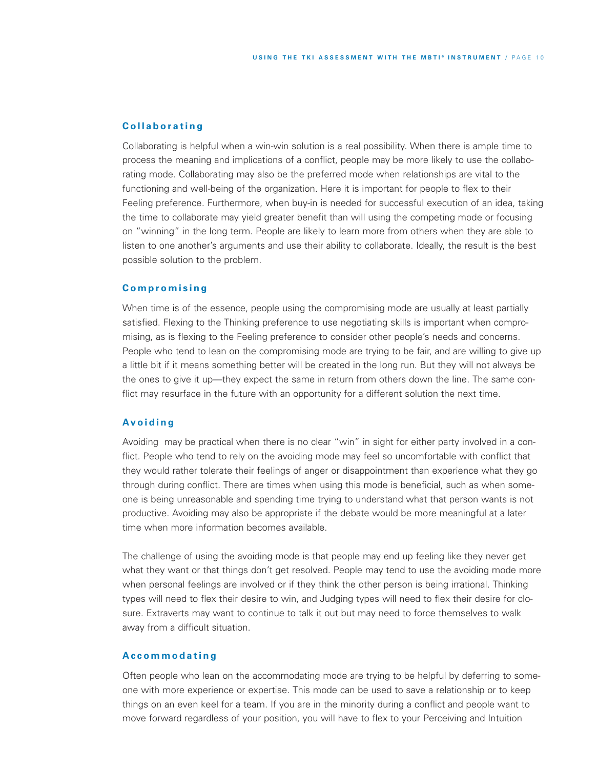## **C o l l a b o r a ti n g**

Collaborating is helpful when a win-win solution is a real possibility. When there is ample time to process the meaning and implications of a conflict, people may be more likely to use the collaborating mode. Collaborating may also be the preferred mode when relationships are vital to the functioning and well-being of the organization. Here it is important for people to flex to their Feeling preference. Furthermore, when buy-in is needed for successful execution of an idea, taking the time to collaborate may yield greater benefit than will using the competing mode or focusing on "winning" in the long term. People are likely to learn more from others when they are able to listen to one another's arguments and use their ability to collaborate. Ideally, the result is the best possible solution to the problem.

#### **C o m p r o m i s i n g**

When time is of the essence, people using the compromising mode are usually at least partially satisfied. Flexing to the Thinking preference to use negotiating skills is important when compromising, as is flexing to the Feeling preference to consider other people's needs and concerns. People who tend to lean on the compromising mode are trying to be fair, and are willing to give up a little bit if it means something better will be created in the long run. But they will not always be the ones to give it up—they expect the same in return from others down the line. The same conflict may resurface in the future with an opportunity for a different solution the next time.

## **Av o i d i n g**

Avoiding may be practical when there is no clear "win" in sight for either party involved in a conflict. People who tend to rely on the avoiding mode may feel so uncomfortable with conflict that they would rather tolerate their feelings of anger or disappointment than experience what they go through during conflict. There are times when using this mode is beneficial, such as when someone is being unreasonable and spending time trying to understand what that person wants is not productive. Avoiding may also be appropriate if the debate would be more meaningful at a later time when more information becomes available.

The challenge of using the avoiding mode is that people may end up feeling like they never get what they want or that things don't get resolved. People may tend to use the avoiding mode more when personal feelings are involved or if they think the other person is being irrational. Thinking types will need to flex their desire to win, and Judging types will need to flex their desire for closure. Extraverts may want to continue to talk it out but may need to force themselves to walk away from a difficult situation.

#### **A c c o m m o d a ti n g**

Often people who lean on the accommodating mode are trying to be helpful by deferring to someone with more experience or expertise. This mode can be used to save a relationship or to keep things on an even keel for a team. If you are in the minority during a conflict and people want to move forward regardless of your position, you will have to flex to your Perceiving and Intuition